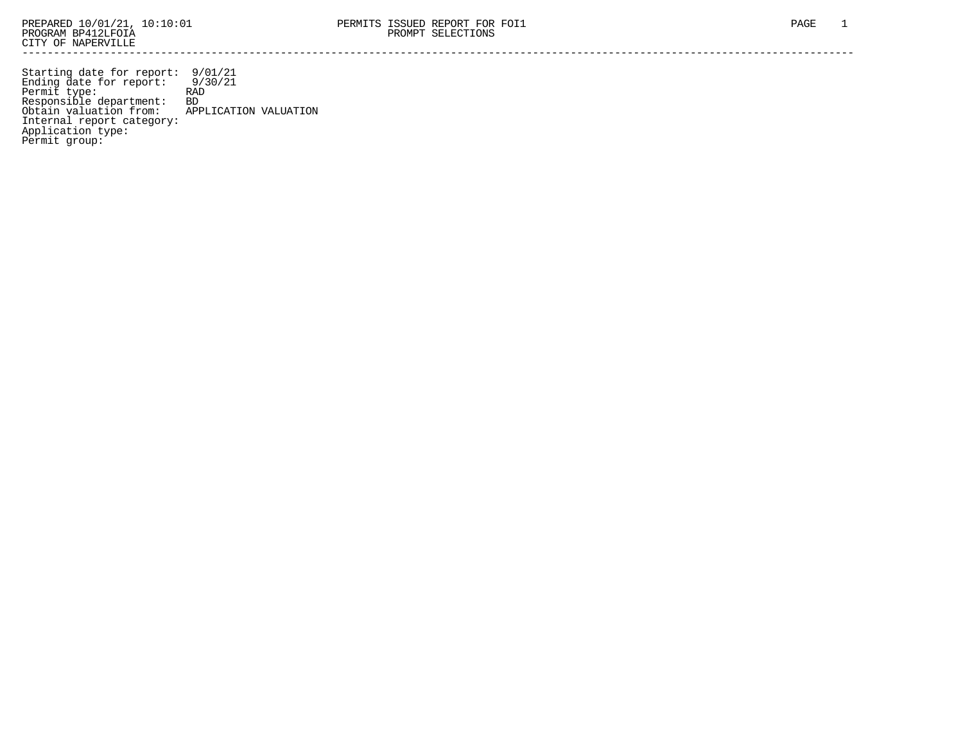Starting date for report: 9/01/21 Ending date for report: 9/30/21 Permit type: RAD Responsible department: BD Obtain valuation from: APPLICATION VALUATION Internal report category: Application type: Permit group: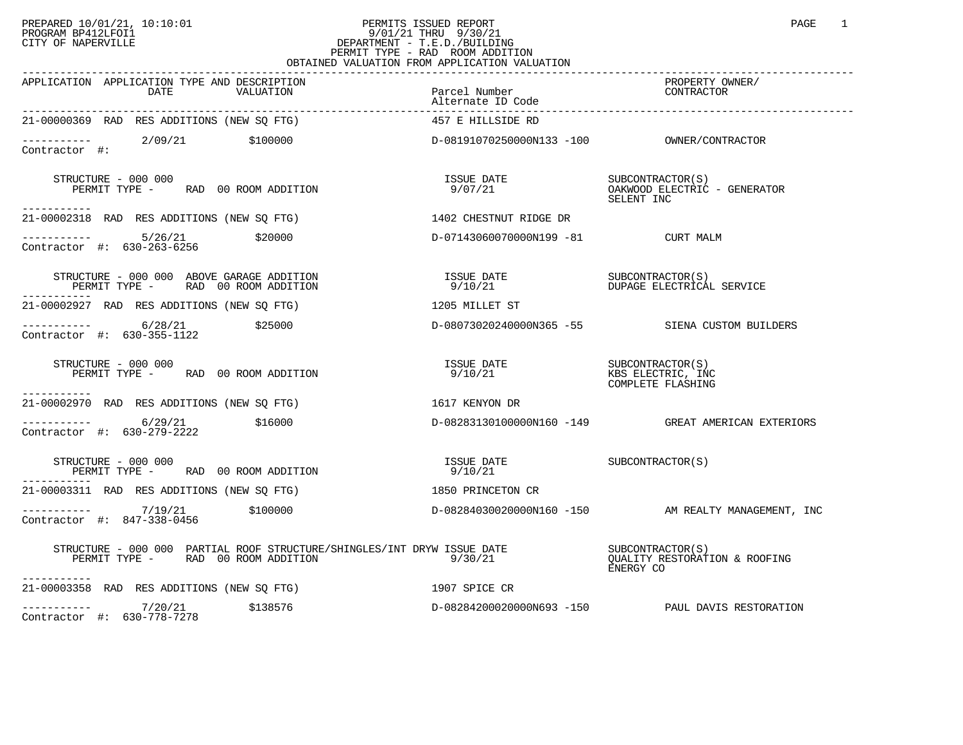## PREPARED 10/01/21, 10:10:01 PERMITS ISSUED REPORT PAGE 1 PAGE 1 PROGRAM BP412LFOI1 9/01/21 THRU 9/30/21 CITY OF NAPERVILLE **Example 20** CITY OF NAPERVILLE PERMIT TYPE - RAD ROOM ADDITION OBTAINED VALUATION FROM APPLICATION VALUATION

| APPLICATION APPLICATION TYPE AND DESCRIPTION<br>DATE<br>VALUATION                                                                                             | Parcel Number<br>Alternate ID Code                                                                 | PROPERTY OWNER/<br>CONTRACTOR                      |
|---------------------------------------------------------------------------------------------------------------------------------------------------------------|----------------------------------------------------------------------------------------------------|----------------------------------------------------|
| 21-00000369 RAD RES ADDITIONS (NEW SQ FTG)                                                                                                                    | 457 E HILLSIDE RD                                                                                  |                                                    |
| ----------- 2/09/21 \$100000<br>Contractor #:                                                                                                                 |                                                                                                    |                                                    |
| STRUCTURE - 000 000<br>PERMIT TYPE - RAD 00 ROOM ADDITION<br>-----------                                                                                      |                                                                                                    | SELENT INC                                         |
| 21-00002318 RAD RES ADDITIONS (NEW SQ FTG) 1402 CHESTNUT RIDGE DR                                                                                             |                                                                                                    |                                                    |
| ----------- 5/26/21 \$20000<br>Contractor #: 630-263-6256 \$20000                                                                                             | D-07143060070000N199 -81 CURT MALM                                                                 |                                                    |
| <b>DIAUGLIURE - UUU UUU ABOVE GARAGE ADDITION<br/>PERMIT TYPE -       RAD   00 ROOM ADDITION</b><br>-----------                                               |                                                                                                    |                                                    |
| 21-00002927 RAD RES ADDITIONS (NEW SQ FTG)                                                                                                                    | 1205 MILLET ST                                                                                     |                                                    |
| ----------- 6/28/21 \$25000<br>Contractor #: 630-355-1122 \$25000                                                                                             |                                                                                                    | D-08073020240000N365 -55 SIENA CUSTOM BUILDERS     |
| STRUCTURE - 000 000<br>PERMIT TYPE - RAD 00 ROOM ADDITION<br>.                                                                                                |                                                                                                    | COMPLETE FLASHING                                  |
| 21-00002970 RAD RES ADDITIONS (NEW SO FTG) $1617$ KENYON DR                                                                                                   |                                                                                                    |                                                    |
| Contractor #: 630-279-2222                                                                                                                                    |                                                                                                    | D-08283130100000N160 -149 GREAT AMERICAN EXTERIORS |
| STRUCTURE - 000 000<br>PERMIT TYPE - RAD 00 ROOM ADDITION                                                                                                     | $\begin{array}{ll}\n\text{ISSUE} & \text{DATE} \\ \text{SUBCONTRACTOR(S)}\n\end{array}$<br>9/10/21 |                                                    |
| 21-00003311 RAD RES ADDITIONS (NEW SQ FTG)                                                                                                                    | 1850 PRINCETON CR                                                                                  |                                                    |
| ---------- 7/19/21 \$100000 \$100000 b-08284030020000N160 -150 AM REALTY MANAGEMENT, INC<br>Contractor #: 847-338-0456                                        |                                                                                                    |                                                    |
| STRUCTURE – 000 000 PARTIAL ROOF STRUCTURE/SHINGLES/INT DRYW ISSUE DATE<br>DEPMIT TYPE – PAD 00 POOM ADDITION<br>PERMIT TYPE - RAD 00 ROOM ADDITION $9/30/21$ |                                                                                                    | OUALITY RESTORATION & ROOFING<br>ENERGY CO         |
| .<br>21-00003358 RAD RES ADDITIONS (NEW SO FTG) 1907 SPICE CR                                                                                                 |                                                                                                    |                                                    |
| $\begin{array}{ccc}\n-2 & -2 & -2 \\ \text{Contractor} & \text{#:} & 630-778-7278\n\end{array}$ \$138576<br>Contractor #: 630-778-7278                        |                                                                                                    | D-08284200020000N693 -150 PAUL DAVIS RESTORATION   |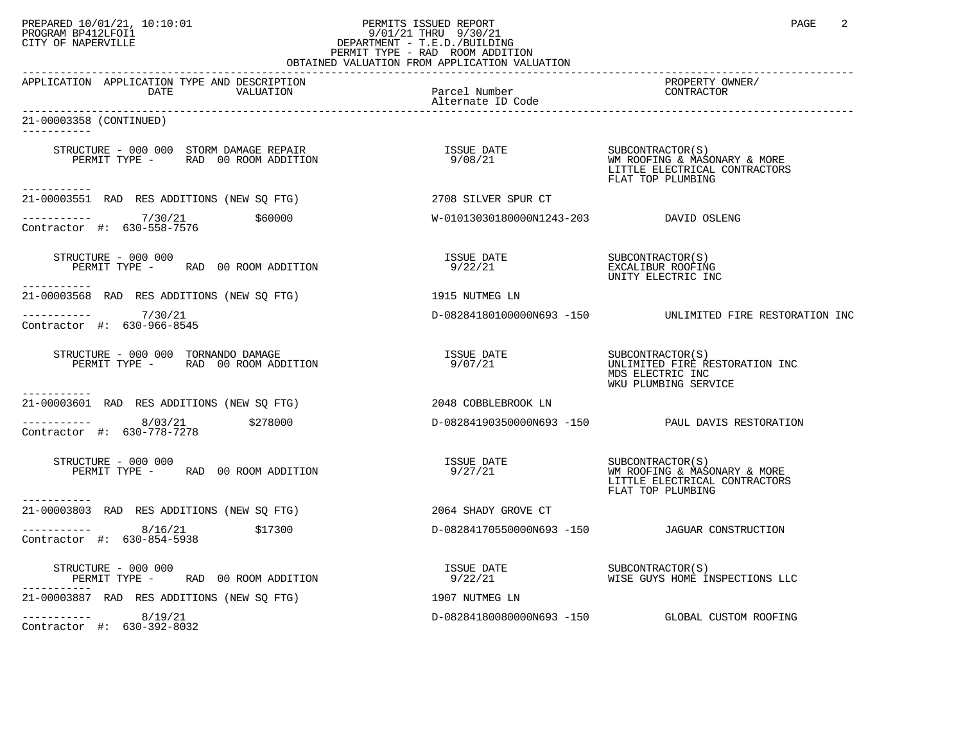## PREPARED 10/01/21, 10:10:01 PERMITS ISSUED REPORT PAGE 2 PROGRAM BP412LFOI1 9/01/21 THRU 9/30/21 CITY OF NAPERVILLE **Example 20** CITY OF NAPERVILLE PERMIT TYPE - RAD ROOM ADDITION

| OBTAINED VALUATION FROM APPLICATION VALUATION                             |                                              |                                                                                                        |  |
|---------------------------------------------------------------------------|----------------------------------------------|--------------------------------------------------------------------------------------------------------|--|
| APPLICATION APPLICATION TYPE AND DESCRIPTION<br>DATE                      | VALUATION Parcel Number<br>Alternate ID Code | PROPERTY OWNER/<br>CONTRACTOR                                                                          |  |
| 21-00003358 (CONTINUED)<br>-----------                                    |                                              |                                                                                                        |  |
|                                                                           |                                              | SUBCONTRACTOR(S)<br>WM ROOFING & MASONARY & MORE<br>LITTLE ELECTRICAL CONTRACTORS<br>FLAT TOP PLUMBING |  |
| -----------<br>21-00003551 RAD RES ADDITIONS (NEW SQ FTG)                 | 2708 SILVER SPUR CT                          |                                                                                                        |  |
| ___________<br>7/30/21<br>\$60000<br>Contractor #: 630-558-7576           | W-01013030180000N1243-203 DAVID OSLENG       |                                                                                                        |  |
| STRUCTURE - 000 000<br>PERMIT TYPE - RAD 00 ROOM ADDITION<br>------------ | ISSUE DATE<br>9/22/21                        | SUBCONTRACTOR(S)<br>EXCALIBUR ROOFING<br>UNITY ELECTRIC INC                                            |  |
| 21-00003568 RAD RES ADDITIONS (NEW SQ FTG)                                | 1915 NUTMEG LN                               |                                                                                                        |  |
| $--------- 7/30/21$<br>Contractor #: 630-966-8545                         |                                              | D-08284180100000N693 -150 UNLIMITED FIRE RESTORATION INC                                               |  |
|                                                                           |                                              | UNLIMITED FIRE RESTORATION INC<br>MDS ELECTRIC INC<br>WKU PLUMBING SERVICE                             |  |
| -----------<br>21-00003601 RAD RES ADDITIONS (NEW SQ FTG)                 | 2048 COBBLEBROOK LN                          |                                                                                                        |  |
| 8/03/21 \$278000<br>Contractor #: 630-778-7278                            |                                              | D-08284190350000N693 -150 PAUL DAVIS RESTORATION                                                       |  |
| STRUCTURE - 000 000<br>PERMIT TYPE - RAD 00 ROOM ADDITION<br>-----------  | ISSUE DATE<br>9/27/21                        | SUBCONTRACTOR(S)<br>WM ROOFING & MASONARY & MORE<br>LITTLE ELECTRICAL CONTRACTORS<br>FLAT TOP PLUMBING |  |
| 21-00003803 RAD RES ADDITIONS (NEW SQ FTG)                                | 2064 SHADY GROVE CT                          |                                                                                                        |  |
| ----------- 8/16/21<br>\$17300<br>Contractor #: 630-854-5938              |                                              | D-08284170550000N693 -150 JAGUAR CONSTRUCTION                                                          |  |
| PERMIT TYPE $-$ RAD 00 ROOM ADDITION<br>STRUCTURE - 000 000               | ISSUE DATE<br>9/22/21                        | SUBCONTRACTOR(S)<br>WISE GUYS HOME INSPECTIONS LLC                                                     |  |
| 21-00003887 RAD RES ADDITIONS (NEW SQ FTG)                                | 1907 NUTMEG LN                               |                                                                                                        |  |
| $--------$ 8/19/21<br>Contractor #: 630-392-8032                          |                                              | D-08284180080000N693 -150 GLOBAL CUSTOM ROOFING                                                        |  |